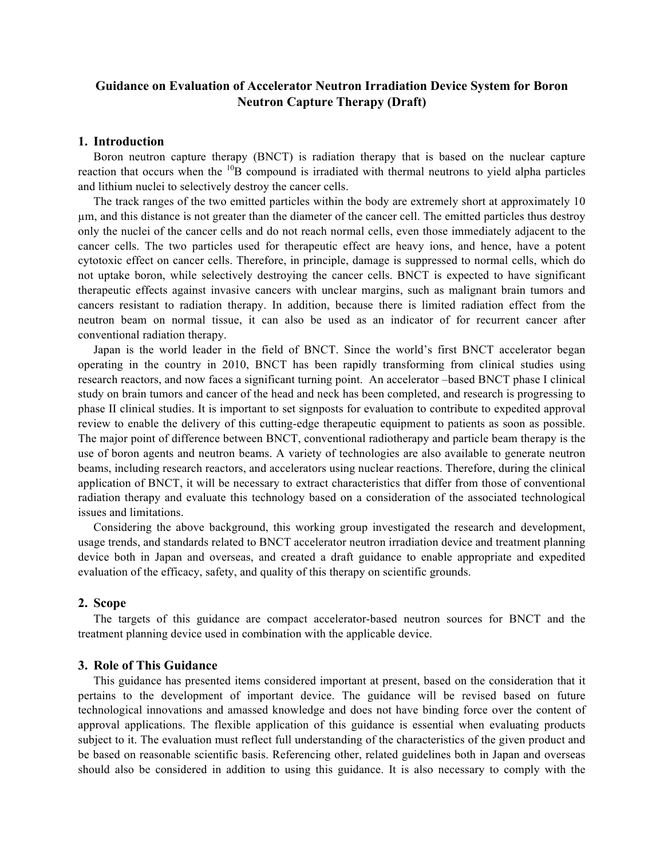# **Guidance on Evaluation of Accelerator Neutron Irradiation Device System for Boron Neutron Capture Therapy (Draft)**

#### **1. Introduction**

Boron neutron capture therapy (BNCT) is radiation therapy that is based on the nuclear capture reaction that occurs when the  $^{10}$ B compound is irradiated with thermal neutrons to yield alpha particles and lithium nuclei to selectively destroy the cancer cells.

The track ranges of the two emitted particles within the body are extremely short at approximately 10 µm, and this distance is not greater than the diameter of the cancer cell. The emitted particles thus destroy only the nuclei of the cancer cells and do not reach normal cells, even those immediately adjacent to the cancer cells. The two particles used for therapeutic effect are heavy ions, and hence, have a potent cytotoxic effect on cancer cells. Therefore, in principle, damage is suppressed to normal cells, which do not uptake boron, while selectively destroying the cancer cells. BNCT is expected to have significant therapeutic effects against invasive cancers with unclear margins, such as malignant brain tumors and cancers resistant to radiation therapy. In addition, because there is limited radiation effect from the neutron beam on normal tissue, it can also be used as an indicator of for recurrent cancer after conventional radiation therapy.

Japan is the world leader in the field of BNCT. Since the world's first BNCT accelerator began operating in the country in 2010, BNCT has been rapidly transforming from clinical studies using research reactors, and now faces a significant turning point. An accelerator –based BNCT phase I clinical study on brain tumors and cancer of the head and neck has been completed, and research is progressing to phase II clinical studies. It is important to set signposts for evaluation to contribute to expedited approval review to enable the delivery of this cutting-edge therapeutic equipment to patients as soon as possible. The major point of difference between BNCT, conventional radiotherapy and particle beam therapy is the use of boron agents and neutron beams. A variety of technologies are also available to generate neutron beams, including research reactors, and accelerators using nuclear reactions. Therefore, during the clinical application of BNCT, it will be necessary to extract characteristics that differ from those of conventional radiation therapy and evaluate this technology based on a consideration of the associated technological issues and limitations.

Considering the above background, this working group investigated the research and development, usage trends, and standards related to BNCT accelerator neutron irradiation device and treatment planning device both in Japan and overseas, and created a draft guidance to enable appropriate and expedited evaluation of the efficacy, safety, and quality of this therapy on scientific grounds.

#### **2. Scope**

The targets of this guidance are compact accelerator-based neutron sources for BNCT and the treatment planning device used in combination with the applicable device.

#### **3. Role of This Guidance**

This guidance has presented items considered important at present, based on the consideration that it pertains to the development of important device. The guidance will be revised based on future technological innovations and amassed knowledge and does not have binding force over the content of approval applications. The flexible application of this guidance is essential when evaluating products subject to it. The evaluation must reflect full understanding of the characteristics of the given product and be based on reasonable scientific basis. Referencing other, related guidelines both in Japan and overseas should also be considered in addition to using this guidance. It is also necessary to comply with the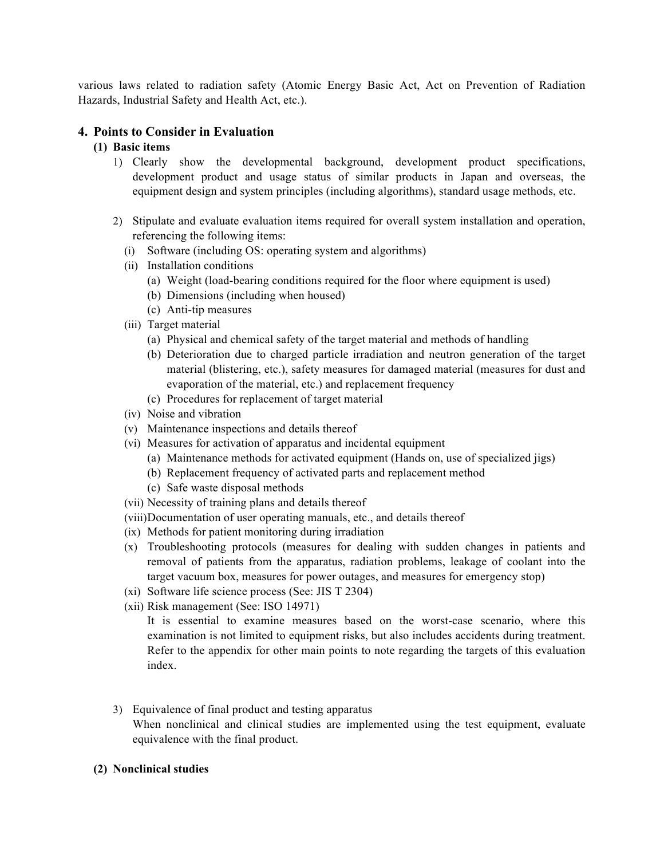various laws related to radiation safety (Atomic Energy Basic Act, Act on Prevention of Radiation Hazards, Industrial Safety and Health Act, etc.).

# **4. Points to Consider in Evaluation**

## **(1) Basic items**

- 1) Clearly show the developmental background, development product specifications, development product and usage status of similar products in Japan and overseas, the equipment design and system principles (including algorithms), standard usage methods, etc.
- 2) Stipulate and evaluate evaluation items required for overall system installation and operation, referencing the following items:
	- (i) Software (including OS: operating system and algorithms)
	- (ii) Installation conditions
		- (a) Weight (load-bearing conditions required for the floor where equipment is used)
		- (b) Dimensions (including when housed)
		- (c) Anti-tip measures
	- (iii) Target material
		- (a) Physical and chemical safety of the target material and methods of handling
		- (b) Deterioration due to charged particle irradiation and neutron generation of the target material (blistering, etc.), safety measures for damaged material (measures for dust and evaporation of the material, etc.) and replacement frequency
		- (c) Procedures for replacement of target material
	- (iv) Noise and vibration
	- (v) Maintenance inspections and details thereof
	- (vi) Measures for activation of apparatus and incidental equipment
		- (a) Maintenance methods for activated equipment (Hands on, use of specialized jigs)
		- (b) Replacement frequency of activated parts and replacement method
		- (c) Safe waste disposal methods
	- (vii) Necessity of training plans and details thereof
	- (viii)Documentation of user operating manuals, etc., and details thereof
	- (ix) Methods for patient monitoring during irradiation
	- (x) Troubleshooting protocols (measures for dealing with sudden changes in patients and removal of patients from the apparatus, radiation problems, leakage of coolant into the target vacuum box, measures for power outages, and measures for emergency stop)
	- (xi) Software life science process (See: JIS T 2304)
	- (xii) Risk management (See: ISO 14971)

It is essential to examine measures based on the worst-case scenario, where this examination is not limited to equipment risks, but also includes accidents during treatment. Refer to the appendix for other main points to note regarding the targets of this evaluation index.

3) Equivalence of final product and testing apparatus

When nonclinical and clinical studies are implemented using the test equipment, evaluate equivalence with the final product.

## **(2) Nonclinical studies**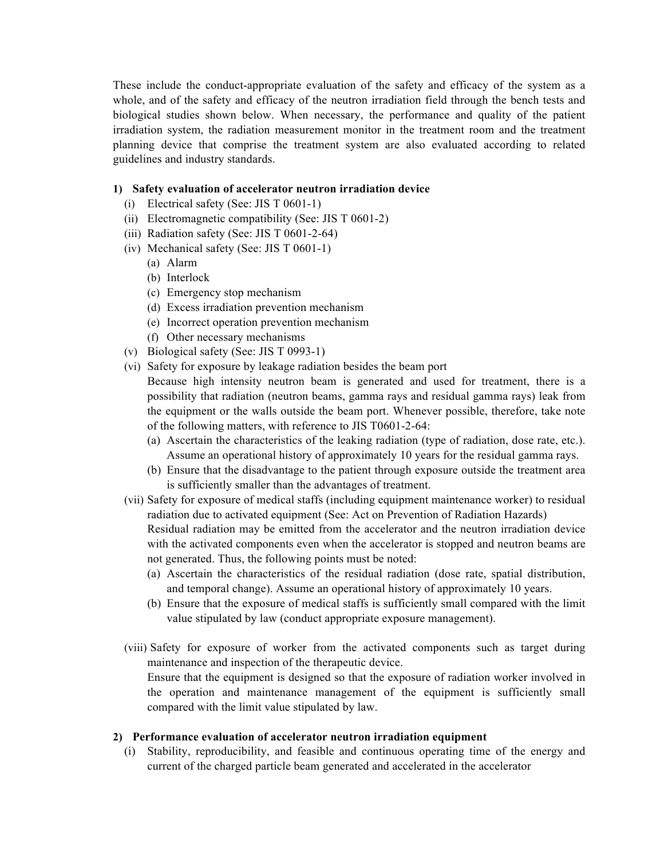These include the conduct-appropriate evaluation of the safety and efficacy of the system as a whole, and of the safety and efficacy of the neutron irradiation field through the bench tests and biological studies shown below. When necessary, the performance and quality of the patient irradiation system, the radiation measurement monitor in the treatment room and the treatment planning device that comprise the treatment system are also evaluated according to related guidelines and industry standards.

### **1) Safety evaluation of accelerator neutron irradiation device**

- (i) Electrical safety (See: JIS T 0601-1)
- (ii) Electromagnetic compatibility (See: JIS T 0601-2)
- (iii) Radiation safety (See: JIS T 0601-2-64)
- (iv) Mechanical safety (See: JIS T 0601-1)
	- (a) Alarm
	- (b) Interlock
	- (c) Emergency stop mechanism
	- (d) Excess irradiation prevention mechanism
	- (e) Incorrect operation prevention mechanism
	- (f) Other necessary mechanisms
- (v) Biological safety (See: JIS T 0993-1)
- (vi) Safety for exposure by leakage radiation besides the beam port

Because high intensity neutron beam is generated and used for treatment, there is a possibility that radiation (neutron beams, gamma rays and residual gamma rays) leak from the equipment or the walls outside the beam port. Whenever possible, therefore, take note of the following matters, with reference to JIS T0601-2-64:

- (a) Ascertain the characteristics of the leaking radiation (type of radiation, dose rate, etc.). Assume an operational history of approximately 10 years for the residual gamma rays.
- (b) Ensure that the disadvantage to the patient through exposure outside the treatment area is sufficiently smaller than the advantages of treatment.
- (vii) Safety for exposure of medical staffs (including equipment maintenance worker) to residual radiation due to activated equipment (See: Act on Prevention of Radiation Hazards) Residual radiation may be emitted from the accelerator and the neutron irradiation device with the activated components even when the accelerator is stopped and neutron beams are not generated. Thus, the following points must be noted:
	- (a) Ascertain the characteristics of the residual radiation (dose rate, spatial distribution, and temporal change). Assume an operational history of approximately 10 years.
	- (b) Ensure that the exposure of medical staffs is sufficiently small compared with the limit value stipulated by law (conduct appropriate exposure management).
- (viii) Safety for exposure of worker from the activated components such as target during maintenance and inspection of the therapeutic device. Ensure that the equipment is designed so that the exposure of radiation worker involved in the operation and maintenance management of the equipment is sufficiently small compared with the limit value stipulated by law.

### **2) Performance evaluation of accelerator neutron irradiation equipment**

(i) Stability, reproducibility, and feasible and continuous operating time of the energy and current of the charged particle beam generated and accelerated in the accelerator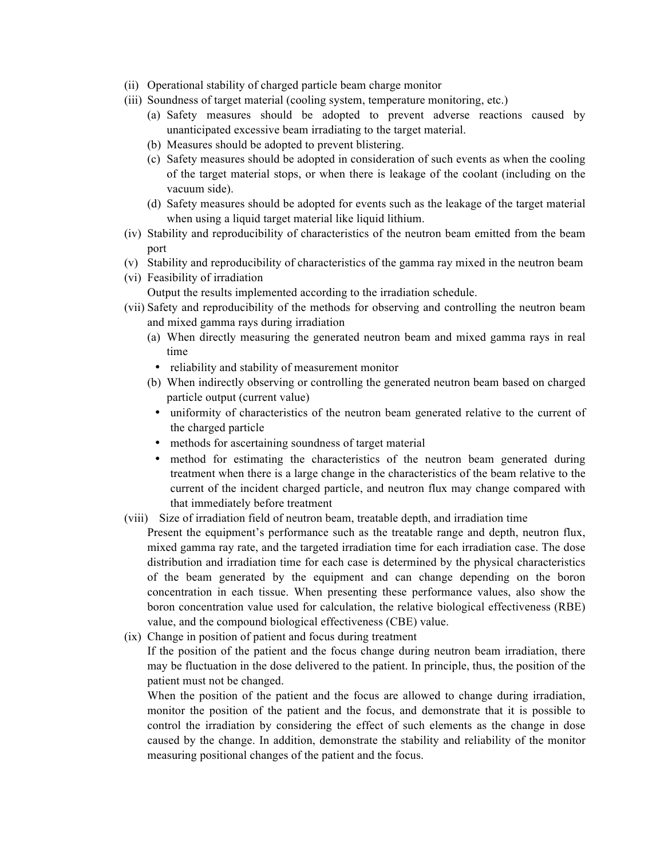- (ii) Operational stability of charged particle beam charge monitor
- (iii) Soundness of target material (cooling system, temperature monitoring, etc.)
	- (a) Safety measures should be adopted to prevent adverse reactions caused by unanticipated excessive beam irradiating to the target material.
	- (b) Measures should be adopted to prevent blistering.
	- (c) Safety measures should be adopted in consideration of such events as when the cooling of the target material stops, or when there is leakage of the coolant (including on the vacuum side).
	- (d) Safety measures should be adopted for events such as the leakage of the target material when using a liquid target material like liquid lithium.
- (iv) Stability and reproducibility of characteristics of the neutron beam emitted from the beam port
- (v) Stability and reproducibility of characteristics of the gamma ray mixed in the neutron beam
- (vi) Feasibility of irradiation
	- Output the results implemented according to the irradiation schedule.
- (vii) Safety and reproducibility of the methods for observing and controlling the neutron beam and mixed gamma rays during irradiation
	- (a) When directly measuring the generated neutron beam and mixed gamma rays in real time
		- reliability and stability of measurement monitor
	- (b) When indirectly observing or controlling the generated neutron beam based on charged particle output (current value)
		- uniformity of characteristics of the neutron beam generated relative to the current of the charged particle
		- methods for ascertaining soundness of target material
		- method for estimating the characteristics of the neutron beam generated during treatment when there is a large change in the characteristics of the beam relative to the current of the incident charged particle, and neutron flux may change compared with that immediately before treatment
- (viii) Size of irradiation field of neutron beam, treatable depth, and irradiation time
	- Present the equipment's performance such as the treatable range and depth, neutron flux, mixed gamma ray rate, and the targeted irradiation time for each irradiation case. The dose distribution and irradiation time for each case is determined by the physical characteristics of the beam generated by the equipment and can change depending on the boron concentration in each tissue. When presenting these performance values, also show the boron concentration value used for calculation, the relative biological effectiveness (RBE) value, and the compound biological effectiveness (CBE) value.
- (ix) Change in position of patient and focus during treatment

If the position of the patient and the focus change during neutron beam irradiation, there may be fluctuation in the dose delivered to the patient. In principle, thus, the position of the patient must not be changed.

When the position of the patient and the focus are allowed to change during irradiation, monitor the position of the patient and the focus, and demonstrate that it is possible to control the irradiation by considering the effect of such elements as the change in dose caused by the change. In addition, demonstrate the stability and reliability of the monitor measuring positional changes of the patient and the focus.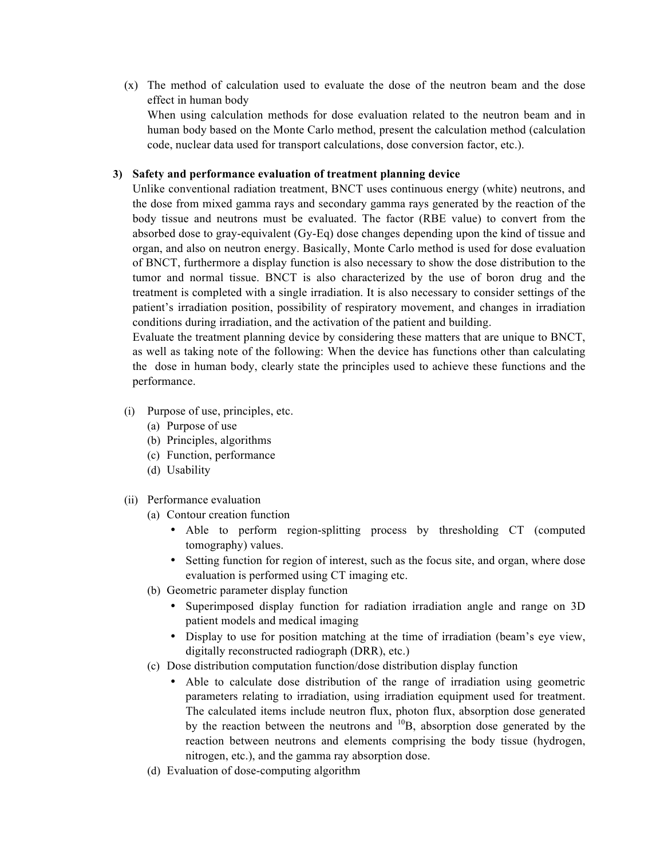(x) The method of calculation used to evaluate the dose of the neutron beam and the dose effect in human body

When using calculation methods for dose evaluation related to the neutron beam and in human body based on the Monte Carlo method, present the calculation method (calculation code, nuclear data used for transport calculations, dose conversion factor, etc.).

### **3) Safety and performance evaluation of treatment planning device**

Unlike conventional radiation treatment, BNCT uses continuous energy (white) neutrons, and the dose from mixed gamma rays and secondary gamma rays generated by the reaction of the body tissue and neutrons must be evaluated. The factor (RBE value) to convert from the absorbed dose to gray-equivalent (Gy-Eq) dose changes depending upon the kind of tissue and organ, and also on neutron energy. Basically, Monte Carlo method is used for dose evaluation of BNCT, furthermore a display function is also necessary to show the dose distribution to the tumor and normal tissue. BNCT is also characterized by the use of boron drug and the treatment is completed with a single irradiation. It is also necessary to consider settings of the patient's irradiation position, possibility of respiratory movement, and changes in irradiation conditions during irradiation, and the activation of the patient and building.

Evaluate the treatment planning device by considering these matters that are unique to BNCT, as well as taking note of the following: When the device has functions other than calculating the dose in human body, clearly state the principles used to achieve these functions and the performance.

- (i) Purpose of use, principles, etc.
	- (a) Purpose of use
	- (b) Principles, algorithms
	- (c) Function, performance
	- (d) Usability
- (ii) Performance evaluation
	- (a) Contour creation function
		- Able to perform region-splitting process by thresholding CT (computed tomography) values.
		- Setting function for region of interest, such as the focus site, and organ, where dose evaluation is performed using CT imaging etc.
	- (b) Geometric parameter display function
		- Superimposed display function for radiation irradiation angle and range on 3D patient models and medical imaging
		- Display to use for position matching at the time of irradiation (beam's eye view, digitally reconstructed radiograph (DRR), etc.)
	- (c) Dose distribution computation function/dose distribution display function
		- Able to calculate dose distribution of the range of irradiation using geometric parameters relating to irradiation, using irradiation equipment used for treatment. The calculated items include neutron flux, photon flux, absorption dose generated by the reaction between the neutrons and  $^{10}B$ , absorption dose generated by the reaction between neutrons and elements comprising the body tissue (hydrogen, nitrogen, etc.), and the gamma ray absorption dose.
	- (d) Evaluation of dose-computing algorithm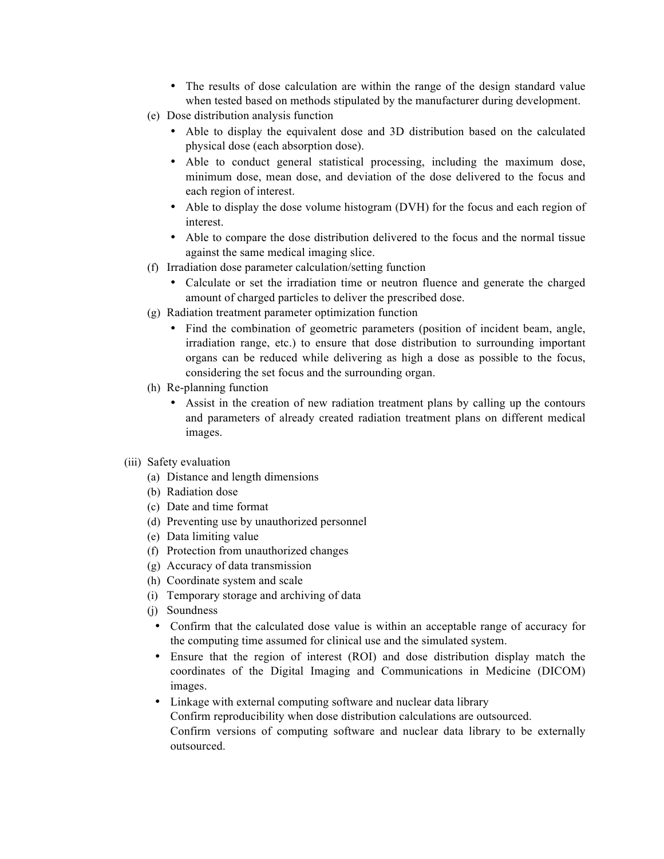- The results of dose calculation are within the range of the design standard value when tested based on methods stipulated by the manufacturer during development.
- (e) Dose distribution analysis function
	- Able to display the equivalent dose and 3D distribution based on the calculated physical dose (each absorption dose).
	- Able to conduct general statistical processing, including the maximum dose, minimum dose, mean dose, and deviation of the dose delivered to the focus and each region of interest.
	- Able to display the dose volume histogram (DVH) for the focus and each region of interest.
	- Able to compare the dose distribution delivered to the focus and the normal tissue against the same medical imaging slice.
- (f) Irradiation dose parameter calculation/setting function
	- Calculate or set the irradiation time or neutron fluence and generate the charged amount of charged particles to deliver the prescribed dose.
- (g) Radiation treatment parameter optimization function
	- Find the combination of geometric parameters (position of incident beam, angle, irradiation range, etc.) to ensure that dose distribution to surrounding important organs can be reduced while delivering as high a dose as possible to the focus, considering the set focus and the surrounding organ.
- (h) Re-planning function
	- Assist in the creation of new radiation treatment plans by calling up the contours and parameters of already created radiation treatment plans on different medical images.
- (iii) Safety evaluation
	- (a) Distance and length dimensions
	- (b) Radiation dose
	- (c) Date and time format
	- (d) Preventing use by unauthorized personnel
	- (e) Data limiting value
	- (f) Protection from unauthorized changes
	- (g) Accuracy of data transmission
	- (h) Coordinate system and scale
	- (i) Temporary storage and archiving of data
	- (j) Soundness
		- Confirm that the calculated dose value is within an acceptable range of accuracy for the computing time assumed for clinical use and the simulated system.
		- Ensure that the region of interest (ROI) and dose distribution display match the coordinates of the Digital Imaging and Communications in Medicine (DICOM) images.
		- Linkage with external computing software and nuclear data library Confirm reproducibility when dose distribution calculations are outsourced. Confirm versions of computing software and nuclear data library to be externally outsourced.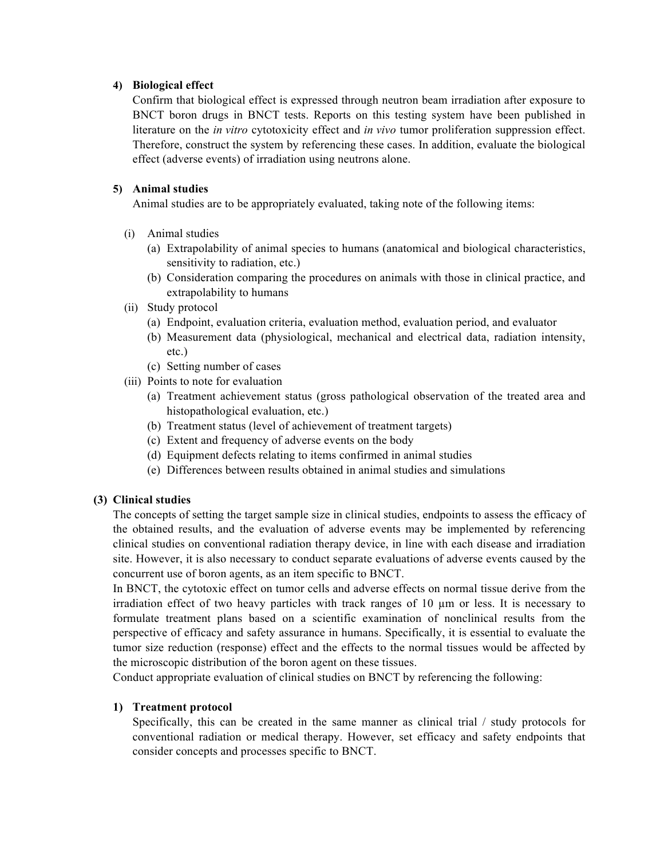### **4) Biological effect**

Confirm that biological effect is expressed through neutron beam irradiation after exposure to BNCT boron drugs in BNCT tests. Reports on this testing system have been published in literature on the *in vitro* cytotoxicity effect and *in vivo* tumor proliferation suppression effect. Therefore, construct the system by referencing these cases. In addition, evaluate the biological effect (adverse events) of irradiation using neutrons alone.

## **5) Animal studies**

Animal studies are to be appropriately evaluated, taking note of the following items:

- (i) Animal studies
	- (a) Extrapolability of animal species to humans (anatomical and biological characteristics, sensitivity to radiation, etc.)
	- (b) Consideration comparing the procedures on animals with those in clinical practice, and extrapolability to humans
- (ii) Study protocol
	- (a) Endpoint, evaluation criteria, evaluation method, evaluation period, and evaluator
	- (b) Measurement data (physiological, mechanical and electrical data, radiation intensity, etc.)
	- (c) Setting number of cases
- (iii) Points to note for evaluation
	- (a) Treatment achievement status (gross pathological observation of the treated area and histopathological evaluation, etc.)
	- (b) Treatment status (level of achievement of treatment targets)
	- (c) Extent and frequency of adverse events on the body
	- (d) Equipment defects relating to items confirmed in animal studies
	- (e) Differences between results obtained in animal studies and simulations

# **(3) Clinical studies**

The concepts of setting the target sample size in clinical studies, endpoints to assess the efficacy of the obtained results, and the evaluation of adverse events may be implemented by referencing clinical studies on conventional radiation therapy device, in line with each disease and irradiation site. However, it is also necessary to conduct separate evaluations of adverse events caused by the concurrent use of boron agents, as an item specific to BNCT.

In BNCT, the cytotoxic effect on tumor cells and adverse effects on normal tissue derive from the irradiation effect of two heavy particles with track ranges of 10 µm or less. It is necessary to formulate treatment plans based on a scientific examination of nonclinical results from the perspective of efficacy and safety assurance in humans. Specifically, it is essential to evaluate the tumor size reduction (response) effect and the effects to the normal tissues would be affected by the microscopic distribution of the boron agent on these tissues.

Conduct appropriate evaluation of clinical studies on BNCT by referencing the following:

# **1) Treatment protocol**

Specifically, this can be created in the same manner as clinical trial / study protocols for conventional radiation or medical therapy. However, set efficacy and safety endpoints that consider concepts and processes specific to BNCT.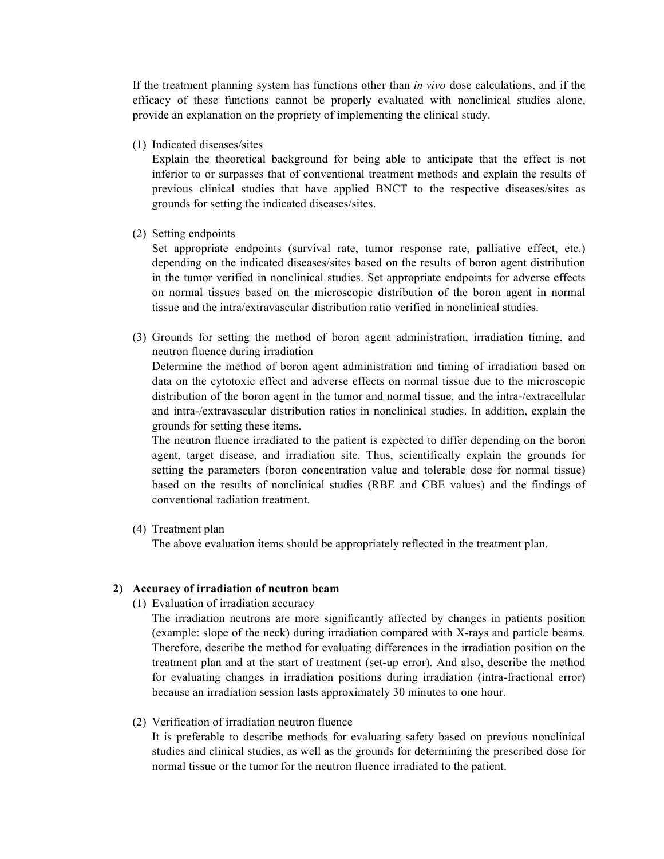If the treatment planning system has functions other than *in vivo* dose calculations, and if the efficacy of these functions cannot be properly evaluated with nonclinical studies alone, provide an explanation on the propriety of implementing the clinical study.

(1) Indicated diseases/sites

Explain the theoretical background for being able to anticipate that the effect is not inferior to or surpasses that of conventional treatment methods and explain the results of previous clinical studies that have applied BNCT to the respective diseases/sites as grounds for setting the indicated diseases/sites.

(2) Setting endpoints

Set appropriate endpoints (survival rate, tumor response rate, palliative effect, etc.) depending on the indicated diseases/sites based on the results of boron agent distribution in the tumor verified in nonclinical studies. Set appropriate endpoints for adverse effects on normal tissues based on the microscopic distribution of the boron agent in normal tissue and the intra/extravascular distribution ratio verified in nonclinical studies.

(3) Grounds for setting the method of boron agent administration, irradiation timing, and neutron fluence during irradiation

Determine the method of boron agent administration and timing of irradiation based on data on the cytotoxic effect and adverse effects on normal tissue due to the microscopic distribution of the boron agent in the tumor and normal tissue, and the intra-/extracellular and intra-/extravascular distribution ratios in nonclinical studies. In addition, explain the grounds for setting these items.

The neutron fluence irradiated to the patient is expected to differ depending on the boron agent, target disease, and irradiation site. Thus, scientifically explain the grounds for setting the parameters (boron concentration value and tolerable dose for normal tissue) based on the results of nonclinical studies (RBE and CBE values) and the findings of conventional radiation treatment.

(4) Treatment plan

The above evaluation items should be appropriately reflected in the treatment plan.

#### **2) Accuracy of irradiation of neutron beam**

(1) Evaluation of irradiation accuracy

The irradiation neutrons are more significantly affected by changes in patients position (example: slope of the neck) during irradiation compared with X-rays and particle beams. Therefore, describe the method for evaluating differences in the irradiation position on the treatment plan and at the start of treatment (set-up error). And also, describe the method for evaluating changes in irradiation positions during irradiation (intra-fractional error) because an irradiation session lasts approximately 30 minutes to one hour.

(2) Verification of irradiation neutron fluence

It is preferable to describe methods for evaluating safety based on previous nonclinical studies and clinical studies, as well as the grounds for determining the prescribed dose for normal tissue or the tumor for the neutron fluence irradiated to the patient.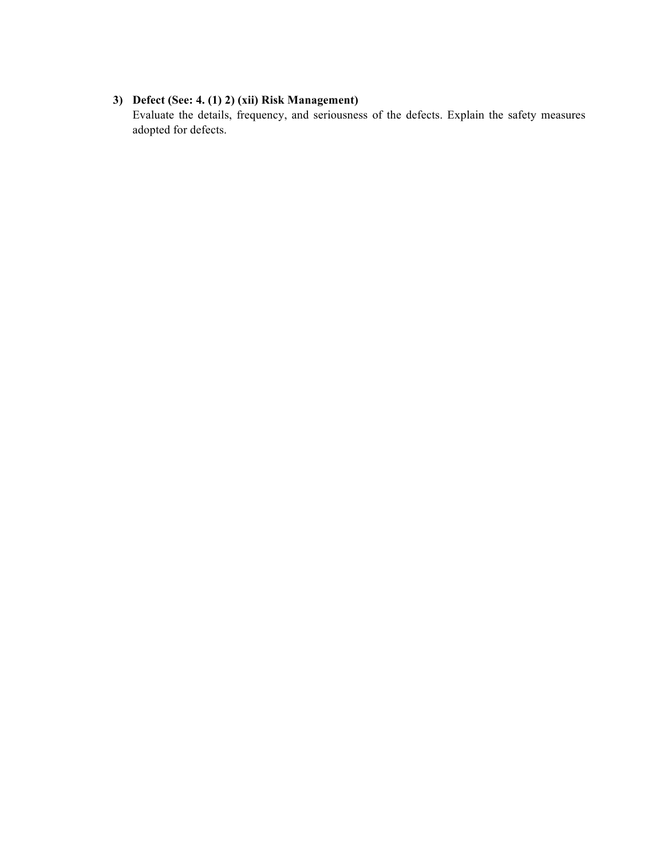# **3) Defect (See: 4. (1) 2) (xii) Risk Management)**

Evaluate the details, frequency, and seriousness of the defects. Explain the safety measures adopted for defects.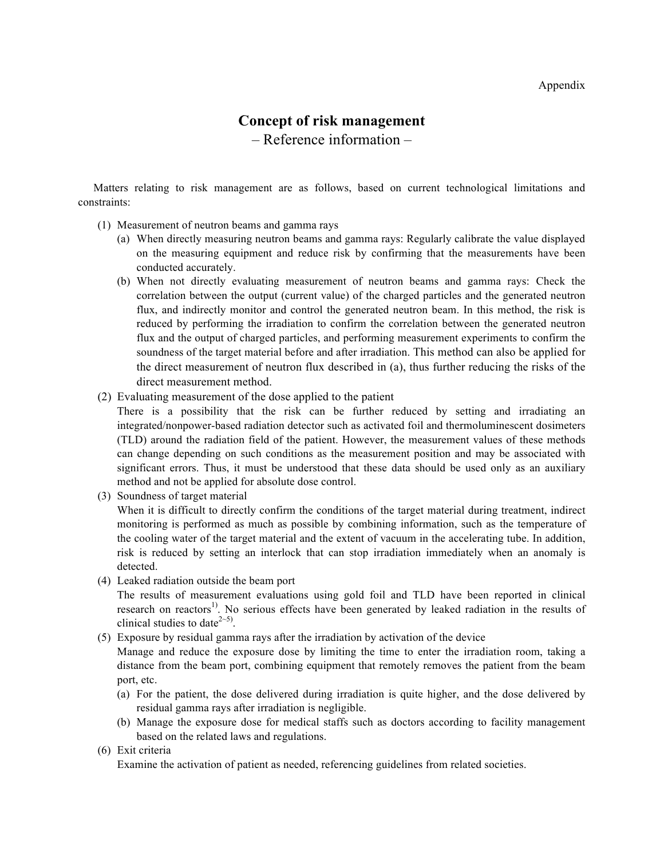# **Concept of risk management** – Reference information –

Matters relating to risk management are as follows, based on current technological limitations and constraints:

- (1) Measurement of neutron beams and gamma rays
	- (a) When directly measuring neutron beams and gamma rays: Regularly calibrate the value displayed on the measuring equipment and reduce risk by confirming that the measurements have been conducted accurately.
	- (b) When not directly evaluating measurement of neutron beams and gamma rays: Check the correlation between the output (current value) of the charged particles and the generated neutron flux, and indirectly monitor and control the generated neutron beam. In this method, the risk is reduced by performing the irradiation to confirm the correlation between the generated neutron flux and the output of charged particles, and performing measurement experiments to confirm the soundness of the target material before and after irradiation. This method can also be applied for the direct measurement of neutron flux described in (a), thus further reducing the risks of the direct measurement method.
- (2) Evaluating measurement of the dose applied to the patient

There is a possibility that the risk can be further reduced by setting and irradiating an integrated/nonpower-based radiation detector such as activated foil and thermoluminescent dosimeters (TLD) around the radiation field of the patient. However, the measurement values of these methods can change depending on such conditions as the measurement position and may be associated with significant errors. Thus, it must be understood that these data should be used only as an auxiliary method and not be applied for absolute dose control.

(3) Soundness of target material

When it is difficult to directly confirm the conditions of the target material during treatment, indirect monitoring is performed as much as possible by combining information, such as the temperature of the cooling water of the target material and the extent of vacuum in the accelerating tube. In addition, risk is reduced by setting an interlock that can stop irradiation immediately when an anomaly is detected.

(4) Leaked radiation outside the beam port

The results of measurement evaluations using gold foil and TLD have been reported in clinical research on reactors<sup>1)</sup>. No serious effects have been generated by leaked radiation in the results of clinical studies to date<sup> $2~5$ </sup>.

(5) Exposure by residual gamma rays after the irradiation by activation of the device

Manage and reduce the exposure dose by limiting the time to enter the irradiation room, taking a distance from the beam port, combining equipment that remotely removes the patient from the beam port, etc.

- (a) For the patient, the dose delivered during irradiation is quite higher, and the dose delivered by residual gamma rays after irradiation is negligible.
- (b) Manage the exposure dose for medical staffs such as doctors according to facility management based on the related laws and regulations.
- (6) Exit criteria

Examine the activation of patient as needed, referencing guidelines from related societies.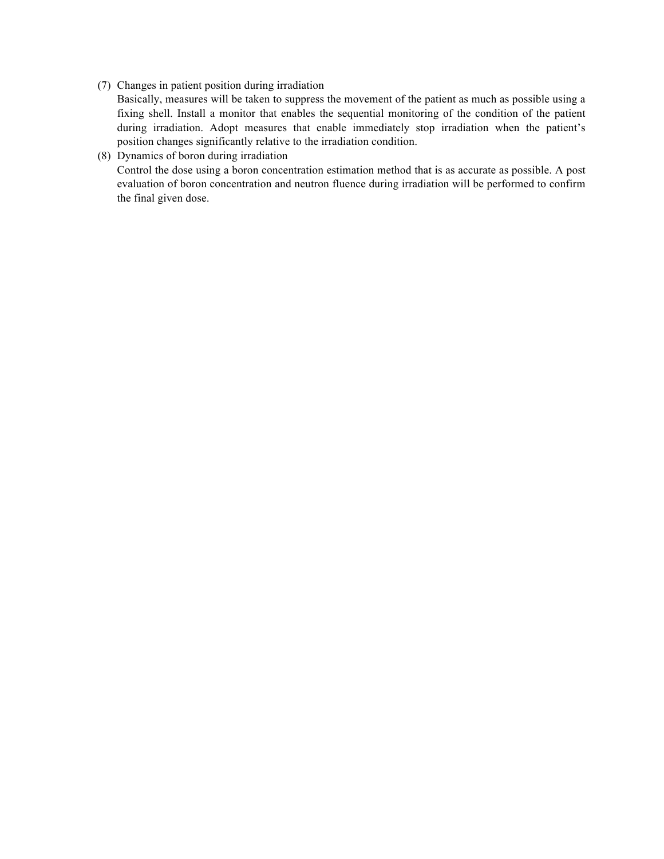(7) Changes in patient position during irradiation

Basically, measures will be taken to suppress the movement of the patient as much as possible using a fixing shell. Install a monitor that enables the sequential monitoring of the condition of the patient during irradiation. Adopt measures that enable immediately stop irradiation when the patient's position changes significantly relative to the irradiation condition.

# (8) Dynamics of boron during irradiation

Control the dose using a boron concentration estimation method that is as accurate as possible. A post evaluation of boron concentration and neutron fluence during irradiation will be performed to confirm the final given dose.